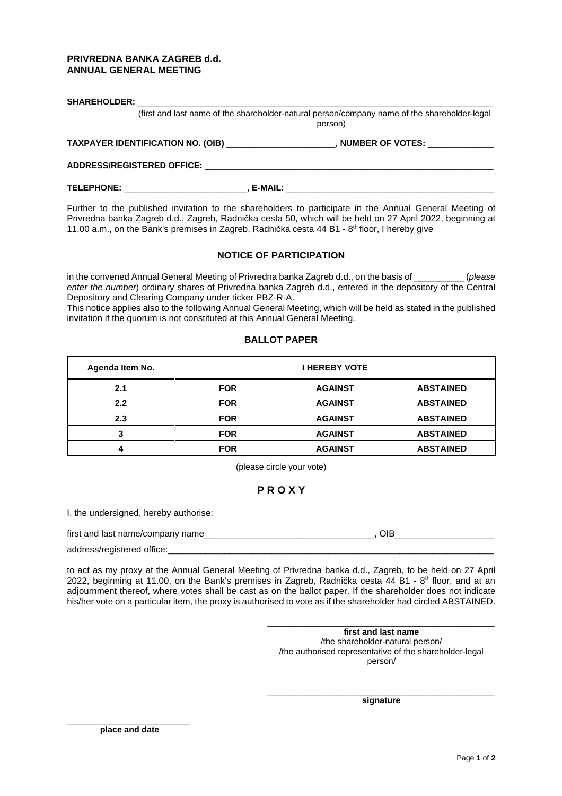## **PRIVREDNA BANKA ZAGREB d.d. ANNUAL GENERAL MEETING**

| (first and last name of the shareholder-natural person/company name of the shareholder-legal<br>person)                                                                                                                        |  |                                                                                         |  |  |
|--------------------------------------------------------------------------------------------------------------------------------------------------------------------------------------------------------------------------------|--|-----------------------------------------------------------------------------------------|--|--|
|                                                                                                                                                                                                                                |  | TAXPAYER IDENTIFICATION NO. (OIB) ______________________, NUMBER OF VOTES: ____________ |  |  |
| ADDRESS/REGISTERED OFFICE: New York of the Second Second Second Second Second Second Second Second Second Second Second Second Second Second Second Second Second Second Second Second Second Second Second Second Second Seco |  |                                                                                         |  |  |
|                                                                                                                                                                                                                                |  |                                                                                         |  |  |

Further to the published invitation to the shareholders to participate in the Annual General Meeting of Privredna banka Zagreb d.d., Zagreb, Radnička cesta 50, which will be held on 27 April 2022, beginning at 11.00 a.m., on the Bank's premises in Zagreb, Radnička cesta 44 B1 -  $8<sup>th</sup>$  floor, I hereby give

## **NOTICE OF PARTICIPATION**

in the convened Annual General Meeting of Privredna banka Zagreb d.d., on the basis of \_\_\_\_\_\_\_\_\_\_\_\_ (please enter the number) ordinary shares of Privredna banka Zagreb d.d., entered in the depository of the Central Depository and Clearing Company under ticker PBZ-R-A.

This notice applies also to the following Annual General Meeting, which will be held as stated in the published invitation if the quorum is not constituted at this Annual General Meeting.

## **BALLOT PAPER**

| Agenda Item No. | <b>I HEREBY VOTE</b> |                |                  |  |
|-----------------|----------------------|----------------|------------------|--|
| 2.1             | <b>FOR</b>           | <b>AGAINST</b> | <b>ABSTAINED</b> |  |
| 2.2             | <b>FOR</b>           | <b>AGAINST</b> | <b>ABSTAINED</b> |  |
| 2.3             | <b>FOR</b>           | <b>AGAINST</b> | <b>ABSTAINED</b> |  |
| っ<br>J          | <b>FOR</b>           | <b>AGAINST</b> | <b>ABSTAINED</b> |  |
|                 | <b>FOR</b>           | <b>AGAINST</b> | <b>ABSTAINED</b> |  |

(please circle your vote)

# **P R O X Y**

I, the undersigned, hereby authorise:

first and last name/company name\_\_\_\_\_\_\_\_\_\_\_\_\_\_\_\_\_\_\_\_\_\_\_\_\_\_\_\_\_\_\_\_\_\_\_\_, OIB\_\_\_\_\_\_\_\_\_\_\_\_\_\_\_\_\_\_\_\_\_

address/registered office:

to act as my proxy at the Annual General Meeting of Privredna banka d.d., Zagreb, to be held on 27 April 2022, beginning at 11.00, on the Bank's premises in Zagreb, Radnička cesta  $44$  B1 -  $8<sup>th</sup>$  floor, and at an adjournment thereof, where votes shall be cast as on the ballot paper. If the shareholder does not indicate his/her vote on a particular item, the proxy is authorised to vote as if the shareholder had circled ABSTAINED.

> **first and last name**  /the shareholder-natural person/ /the authorised representative of the shareholder-legal person/

\_\_\_\_\_\_\_\_\_\_\_\_\_\_\_\_\_\_\_\_\_\_\_\_\_\_\_\_\_\_\_\_\_\_\_\_\_\_\_\_\_\_\_\_\_\_\_\_

\_\_\_\_\_\_\_\_\_\_\_\_\_\_\_\_\_\_\_\_\_\_\_\_\_\_\_\_\_\_\_\_\_\_\_\_\_\_\_\_\_\_\_\_\_\_\_\_ **signature** 

\_\_\_\_\_\_\_\_\_\_\_\_\_\_\_\_\_\_\_\_\_\_\_\_\_\_ **place and date**